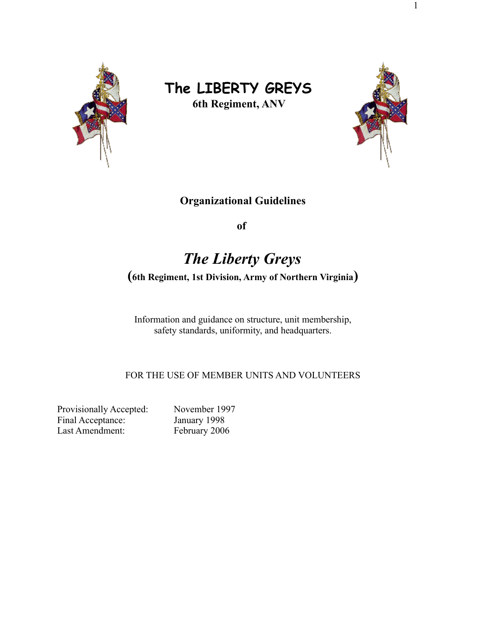

# **The LIBERTY GREYS**

**6th Regiment, ANV**



## **Organizational Guidelines**

**of**

## *The Liberty Greys*

**(6th Regiment, 1st Division, Army of Northern Virginia)**

Information and guidance on structure, unit membership, safety standards, uniformity, and headquarters.

FOR THE USE OF MEMBER UNITS AND VOLUNTEERS

Provisionally Accepted: November 1997 Final Acceptance: January 1998 Last Amendment: February 2006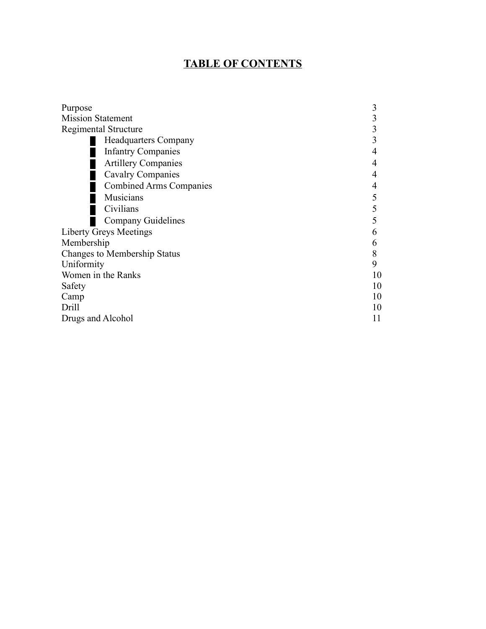## **TABLE OF CONTENTS**

| Purpose                             | 3  |
|-------------------------------------|----|
| <b>Mission Statement</b>            | 3  |
| <b>Regimental Structure</b>         | 3  |
| <b>Headquarters Company</b>         | 3  |
| <b>Infantry Companies</b>           | 4  |
| <b>Artillery Companies</b>          | 4  |
| Cavalry Companies                   | 4  |
| <b>Combined Arms Companies</b>      | 4  |
| Musicians                           | 5  |
| Civilians                           | 5  |
| <b>Company Guidelines</b>           | 5  |
| <b>Liberty Greys Meetings</b>       | 6  |
| Membership                          | 6  |
| <b>Changes to Membership Status</b> | 8  |
| Uniformity                          | 9  |
| Women in the Ranks                  | 10 |
| Safety                              | 10 |
| Camp                                | 10 |
| Drill                               | 10 |
| Drugs and Alcohol                   | 11 |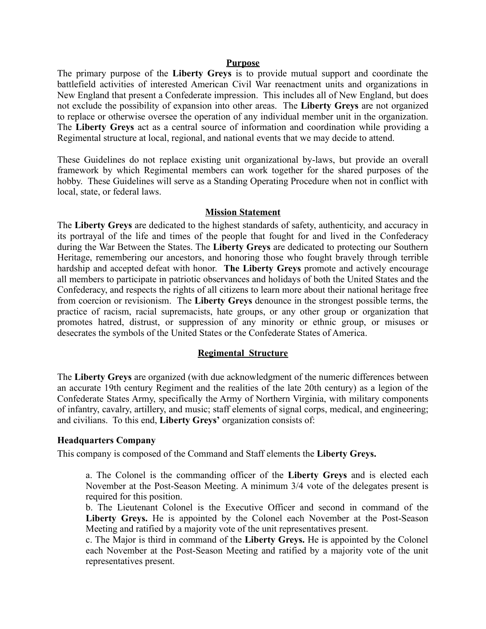#### **Purpose**

The primary purpose of the **Liberty Greys** is to provide mutual support and coordinate the battlefield activities of interested American Civil War reenactment units and organizations in New England that present a Confederate impression. This includes all of New England, but does not exclude the possibility of expansion into other areas. The **Liberty Greys** are not organized to replace or otherwise oversee the operation of any individual member unit in the organization. The **Liberty Greys** act as a central source of information and coordination while providing a Regimental structure at local, regional, and national events that we may decide to attend.

These Guidelines do not replace existing unit organizational by-laws, but provide an overall framework by which Regimental members can work together for the shared purposes of the hobby. These Guidelines will serve as a Standing Operating Procedure when not in conflict with local, state, or federal laws.

#### **Mission Statement**

The **Liberty Greys** are dedicated to the highest standards of safety, authenticity, and accuracy in its portrayal of the life and times of the people that fought for and lived in the Confederacy during the War Between the States. The **Liberty Greys** are dedicated to protecting our Southern Heritage, remembering our ancestors, and honoring those who fought bravely through terrible hardship and accepted defeat with honor. **The Liberty Greys** promote and actively encourage all members to participate in patriotic observances and holidays of both the United States and the Confederacy, and respects the rights of all citizens to learn more about their national heritage free from coercion or revisionism. The **Liberty Greys** denounce in the strongest possible terms, the practice of racism, racial supremacists, hate groups, or any other group or organization that promotes hatred, distrust, or suppression of any minority or ethnic group, or misuses or desecrates the symbols of the United States or the Confederate States of America.

## **Regimental Structure**

The **Liberty Greys** are organized (with due acknowledgment of the numeric differences between an accurate 19th century Regiment and the realities of the late 20th century) as a legion of the Confederate States Army, specifically the Army of Northern Virginia, with military components of infantry, cavalry, artillery, and music; staff elements of signal corps, medical, and engineering; and civilians. To this end, **Liberty Greys'** organization consists of:

#### **Headquarters Company**

This company is composed of the Command and Staff elements the **Liberty Greys.**

a. The Colonel is the commanding officer of the **Liberty Greys** and is elected each November at the Post-Season Meeting. A minimum 3/4 vote of the delegates present is required for this position.

b. The Lieutenant Colonel is the Executive Officer and second in command of the **Liberty Greys.** He is appointed by the Colonel each November at the Post-Season Meeting and ratified by a majority vote of the unit representatives present.

c. The Major is third in command of the **Liberty Greys.** He is appointed by the Colonel each November at the Post-Season Meeting and ratified by a majority vote of the unit representatives present.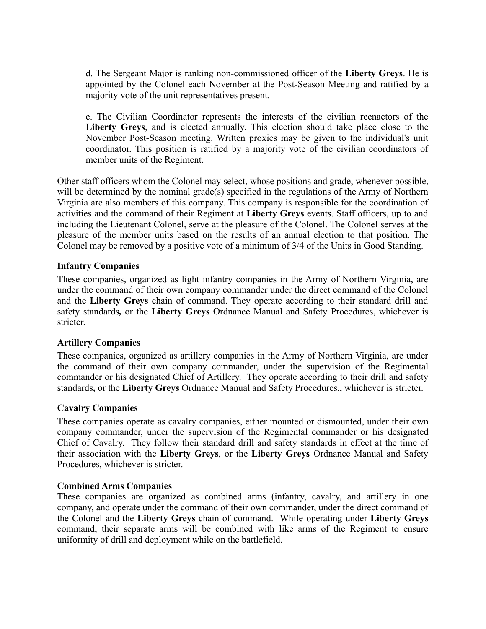d. The Sergeant Major is ranking non-commissioned officer of the **Liberty Greys**. He is appointed by the Colonel each November at the Post-Season Meeting and ratified by a majority vote of the unit representatives present.

e. The Civilian Coordinator represents the interests of the civilian reenactors of the **Liberty Greys**, and is elected annually. This election should take place close to the November Post-Season meeting. Written proxies may be given to the individual's unit coordinator. This position is ratified by a majority vote of the civilian coordinators of member units of the Regiment.

Other staff officers whom the Colonel may select, whose positions and grade, whenever possible, will be determined by the nominal grade(s) specified in the regulations of the Army of Northern Virginia are also members of this company. This company is responsible for the coordination of activities and the command of their Regiment at **Liberty Greys** events. Staff officers, up to and including the Lieutenant Colonel, serve at the pleasure of the Colonel. The Colonel serves at the pleasure of the member units based on the results of an annual election to that position. The Colonel may be removed by a positive vote of a minimum of 3/4 of the Units in Good Standing.

## **Infantry Companies**

These companies, organized as light infantry companies in the Army of Northern Virginia, are under the command of their own company commander under the direct command of the Colonel and the **Liberty Greys** chain of command. They operate according to their standard drill and safety standards*,* or the **Liberty Greys** Ordnance Manual and Safety Procedures, whichever is stricter.

## **Artillery Companies**

These companies, organized as artillery companies in the Army of Northern Virginia, are under the command of their own company commander, under the supervision of the Regimental commander or his designated Chief of Artillery. They operate according to their drill and safety standards**,** or the **Liberty Greys** Ordnance Manual and Safety Procedures,, whichever is stricter.

## **Cavalry Companies**

These companies operate as cavalry companies, either mounted or dismounted, under their own company commander, under the supervision of the Regimental commander or his designated Chief of Cavalry. They follow their standard drill and safety standards in effect at the time of their association with the **Liberty Greys**, or the **Liberty Greys** Ordnance Manual and Safety Procedures, whichever is stricter.

## **Combined Arms Companies**

These companies are organized as combined arms (infantry, cavalry, and artillery in one company, and operate under the command of their own commander, under the direct command of the Colonel and the **Liberty Greys** chain of command. While operating under **Liberty Greys** command, their separate arms will be combined with like arms of the Regiment to ensure uniformity of drill and deployment while on the battlefield.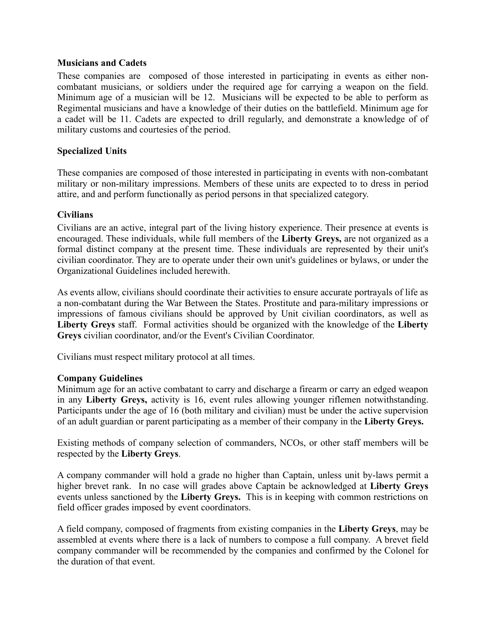## **Musicians and Cadets**

These companies are composed of those interested in participating in events as either noncombatant musicians, or soldiers under the required age for carrying a weapon on the field. Minimum age of a musician will be 12. Musicians will be expected to be able to perform as Regimental musicians and have a knowledge of their duties on the battlefield. Minimum age for a cadet will be 11. Cadets are expected to drill regularly, and demonstrate a knowledge of of military customs and courtesies of the period.

## **Specialized Units**

These companies are composed of those interested in participating in events with non-combatant military or non-military impressions. Members of these units are expected to to dress in period attire, and and perform functionally as period persons in that specialized category.

## **Civilians**

Civilians are an active, integral part of the living history experience. Their presence at events is encouraged. These individuals, while full members of the **Liberty Greys,** are not organized as a formal distinct company at the present time. These individuals are represented by their unit's civilian coordinator. They are to operate under their own unit's guidelines or bylaws, or under the Organizational Guidelines included herewith.

As events allow, civilians should coordinate their activities to ensure accurate portrayals of life as a non-combatant during the War Between the States. Prostitute and para-military impressions or impressions of famous civilians should be approved by Unit civilian coordinators, as well as **Liberty Greys** staff. Formal activities should be organized with the knowledge of the **Liberty Greys** civilian coordinator, and/or the Event's Civilian Coordinator.

Civilians must respect military protocol at all times.

## **Company Guidelines**

Minimum age for an active combatant to carry and discharge a firearm or carry an edged weapon in any **Liberty Greys,** activity is 16, event rules allowing younger riflemen notwithstanding. Participants under the age of 16 (both military and civilian) must be under the active supervision of an adult guardian or parent participating as a member of their company in the **Liberty Greys.**

Existing methods of company selection of commanders, NCOs, or other staff members will be respected by the **Liberty Greys**.

A company commander will hold a grade no higher than Captain, unless unit by-laws permit a higher brevet rank. In no case will grades above Captain be acknowledged at **Liberty Greys** events unless sanctioned by the **Liberty Greys.** This is in keeping with common restrictions on field officer grades imposed by event coordinators.

A field company, composed of fragments from existing companies in the **Liberty Greys**, may be assembled at events where there is a lack of numbers to compose a full company. A brevet field company commander will be recommended by the companies and confirmed by the Colonel for the duration of that event.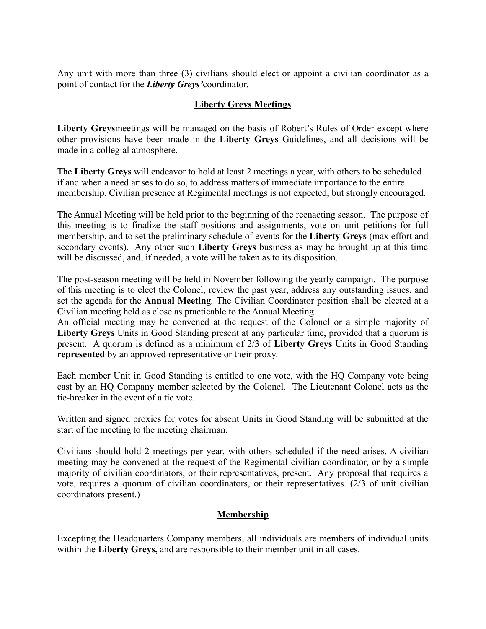Any unit with more than three (3) civilians should elect or appoint a civilian coordinator as a point of contact for the *Liberty Greys'*coordinator.

## **Liberty Greys Meetings**

**Liberty Greys**meetings will be managed on the basis of Robert's Rules of Order except where other provisions have been made in the **Liberty Greys** Guidelines, and all decisions will be made in a collegial atmosphere.

The **Liberty Greys** will endeavor to hold at least 2 meetings a year, with others to be scheduled if and when a need arises to do so, to address matters of immediate importance to the entire membership. Civilian presence at Regimental meetings is not expected, but strongly encouraged.

The Annual Meeting will be held prior to the beginning of the reenacting season. The purpose of this meeting is to finalize the staff positions and assignments, vote on unit petitions for full membership, and to set the preliminary schedule of events for the **Liberty Greys** (max effort and secondary events). Any other such **Liberty Greys** business as may be brought up at this time will be discussed, and, if needed, a vote will be taken as to its disposition.

The post-season meeting will be held in November following the yearly campaign. The purpose of this meeting is to elect the Colonel, review the past year, address any outstanding issues, and set the agenda for the **Annual Meeting***.* The Civilian Coordinator position shall be elected at a Civilian meeting held as close as practicable to the Annual Meeting.

An official meeting may be convened at the request of the Colonel or a simple majority of **Liberty Greys** Units in Good Standing present at any particular time, provided that a quorum is present. A quorum is defined as a minimum of 2/3 of **Liberty Greys** Units in Good Standing **represented** by an approved representative or their proxy.

Each member Unit in Good Standing is entitled to one vote, with the HQ Company vote being cast by an HQ Company member selected by the Colonel. The Lieutenant Colonel acts as the tie-breaker in the event of a tie vote.

Written and signed proxies for votes for absent Units in Good Standing will be submitted at the start of the meeting to the meeting chairman.

Civilians should hold 2 meetings per year, with others scheduled if the need arises. A civilian meeting may be convened at the request of the Regimental civilian coordinator, or by a simple majority of civilian coordinators, or their representatives, present. Any proposal that requires a vote, requires a quorum of civilian coordinators, or their representatives. (2/3 of unit civilian coordinators present.)

## **Membership**

Excepting the Headquarters Company members, all individuals are members of individual units within the **Liberty Greys,** and are responsible to their member unit in all cases.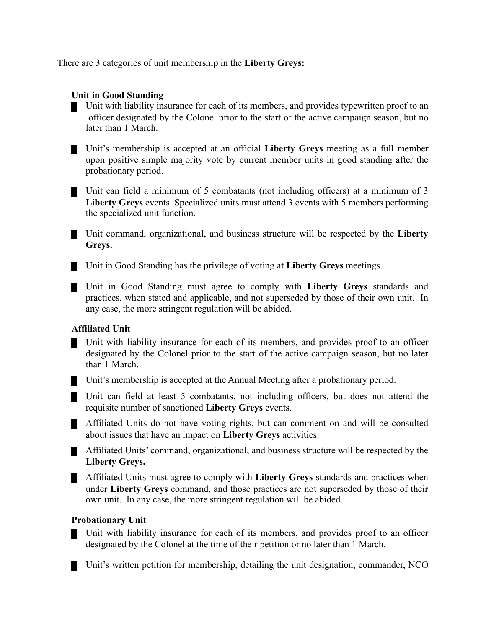There are 3 categories of unit membership in the **Liberty Greys:**

## **Unit in Good Standing**

Unit with liability insurance for each of its members, and provides typewritten proof to an officer designated by the Colonel prior to the start of the active campaign season, but no later than 1 March.

Unit's membership is accepted at an official **Liberty Greys** meeting as a full member upon positive simple majority vote by current member units in good standing after the probationary period.

Unit can field a minimum of 5 combatants (not including officers) at a minimum of 3 **Liberty Greys** events. Specialized units must attend 3 events with 5 members performing the specialized unit function.

Unit command, organizational, and business structure will be respected by the **Liberty Greys.**

Unit in Good Standing has the privilege of voting at **Liberty Greys** meetings.

Unit in Good Standing must agree to comply with **Liberty Greys** standards and practices, when stated and applicable, and not superseded by those of their own unit. In any case, the more stringent regulation will be abided.

## **Affiliated Unit**

Unit with liability insurance for each of its members, and provides proof to an officer designated by the Colonel prior to the start of the active campaign season, but no later than 1 March.

Unit's membership is accepted at the Annual Meeting after a probationary period.

Unit can field at least 5 combatants, not including officers, but does not attend the requisite number of sanctioned **Liberty Greys** events.

Affiliated Units do not have voting rights, but can comment on and will be consulted about issues that have an impact on **Liberty Greys** activities.

Affiliated Units' command, organizational, and business structure will be respected by the **Liberty Greys.**

Affiliated Units must agree to comply with **Liberty Greys** standards and practices when under **Liberty Greys** command, and those practices are not superseded by those of their own unit. In any case, the more stringent regulation will be abided.

## **Probationary Unit**

Unit with liability insurance for each of its members, and provides proof to an officer designated by the Colonel at the time of their petition or no later than 1 March.

Unit's written petition for membership, detailing the unit designation, commander, NCO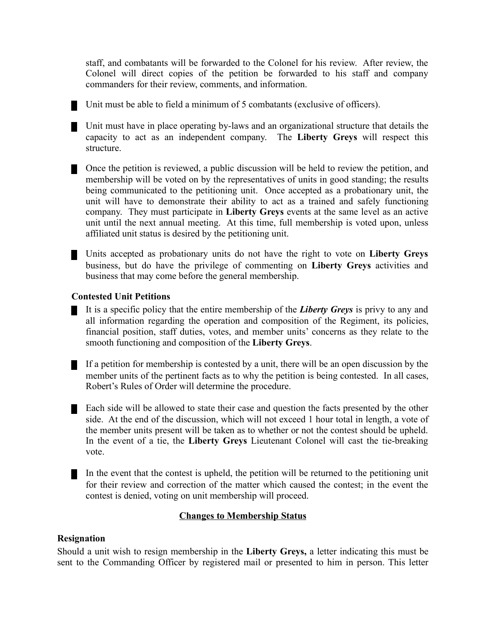staff, and combatants will be forwarded to the Colonel for his review. After review, the Colonel will direct copies of the petition be forwarded to his staff and company commanders for their review, comments, and information.

Unit must be able to field a minimum of 5 combatants (exclusive of officers).

Unit must have in place operating by-laws and an organizational structure that details the capacity to act as an independent company. The **Liberty Greys** will respect this structure.

Once the petition is reviewed, a public discussion will be held to review the petition, and membership will be voted on by the representatives of units in good standing; the results being communicated to the petitioning unit. Once accepted as a probationary unit, the unit will have to demonstrate their ability to act as a trained and safely functioning company. They must participate in **Liberty Greys** events at the same level as an active unit until the next annual meeting. At this time, full membership is voted upon, unless affiliated unit status is desired by the petitioning unit.

Units accepted as probationary units do not have the right to vote on **Liberty Greys** business, but do have the privilege of commenting on **Liberty Greys** activities and business that may come before the general membership.

## **Contested Unit Petitions**

It is a specific policy that the entire membership of the *Liberty Greys* is privy to any and all information regarding the operation and composition of the Regiment, its policies, financial position, staff duties, votes, and member units' concerns as they relate to the smooth functioning and composition of the **Liberty Greys**.

If a petition for membership is contested by a unit, there will be an open discussion by the member units of the pertinent facts as to why the petition is being contested. In all cases, Robert's Rules of Order will determine the procedure.

Each side will be allowed to state their case and question the facts presented by the other side. At the end of the discussion, which will not exceed 1 hour total in length, a vote of the member units present will be taken as to whether or not the contest should be upheld. In the event of a tie, the **Liberty Greys** Lieutenant Colonel will cast the tie-breaking vote.

In the event that the contest is upheld, the petition will be returned to the petitioning unit for their review and correction of the matter which caused the contest; in the event the contest is denied, voting on unit membership will proceed.

## **Changes to Membership Status**

## **Resignation**

Should a unit wish to resign membership in the **Liberty Greys,** a letter indicating this must be sent to the Commanding Officer by registered mail or presented to him in person. This letter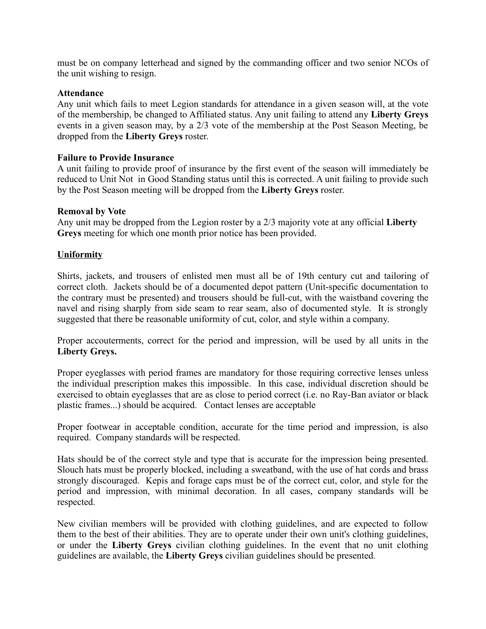must be on company letterhead and signed by the commanding officer and two senior NCOs of the unit wishing to resign.

## **Attendance**

Any unit which fails to meet Legion standards for attendance in a given season will, at the vote of the membership, be changed to Affiliated status. Any unit failing to attend any **Liberty Greys** events in a given season may, by a 2/3 vote of the membership at the Post Season Meeting, be dropped from the **Liberty Greys** roster.

## **Failure to Provide Insurance**

A unit failing to provide proof of insurance by the first event of the season will immediately be reduced to Unit Not in Good Standing status until this is corrected. A unit failing to provide such by the Post Season meeting will be dropped from the **Liberty Greys** roster.

## **Removal by Vote**

Any unit may be dropped from the Legion roster by a 2/3 majority vote at any official **Liberty Greys** meeting for which one month prior notice has been provided.

## **Uniformity**

Shirts, jackets, and trousers of enlisted men must all be of 19th century cut and tailoring of correct cloth. Jackets should be of a documented depot pattern (Unit-specific documentation to the contrary must be presented) and trousers should be full-cut, with the waistband covering the navel and rising sharply from side seam to rear seam, also of documented style. It is strongly suggested that there be reasonable uniformity of cut, color, and style within a company.

Proper accouterments, correct for the period and impression, will be used by all units in the **Liberty Greys.**

Proper eyeglasses with period frames are mandatory for those requiring corrective lenses unless the individual prescription makes this impossible. In this case, individual discretion should be exercised to obtain eyeglasses that are as close to period correct (i.e. no Ray-Ban aviator or black plastic frames...) should be acquired. Contact lenses are acceptable

Proper footwear in acceptable condition, accurate for the time period and impression, is also required. Company standards will be respected.

Hats should be of the correct style and type that is accurate for the impression being presented. Slouch hats must be properly blocked, including a sweatband, with the use of hat cords and brass strongly discouraged. Kepis and forage caps must be of the correct cut, color, and style for the period and impression, with minimal decoration. In all cases, company standards will be respected.

New civilian members will be provided with clothing guidelines, and are expected to follow them to the best of their abilities. They are to operate under their own unit's clothing guidelines, or under the **Liberty Greys** civilian clothing guidelines. In the event that no unit clothing guidelines are available, the **Liberty Greys** civilian guidelines should be presented.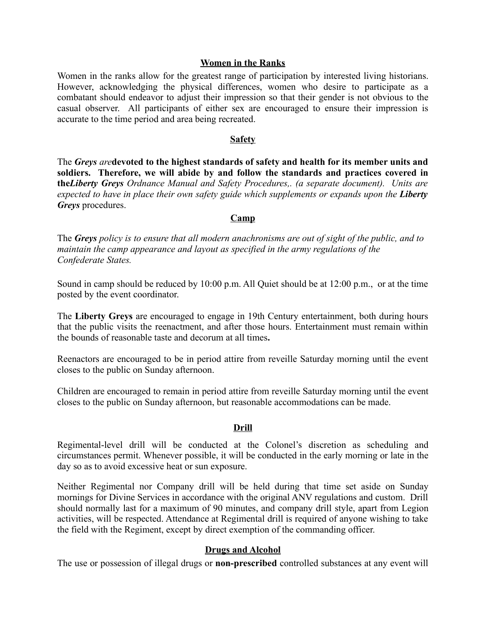## **Women in the Ranks**

Women in the ranks allow for the greatest range of participation by interested living historians. However, acknowledging the physical differences, women who desire to participate as a combatant should endeavor to adjust their impression so that their gender is not obvious to the casual observer. All participants of either sex are encouraged to ensure their impression is accurate to the time period and area being recreated.

## **Safety**

The *Greys are***devoted to the highest standards of safety and health for its member units and soldiers. Therefore, we will abide by and follow the standards and practices covered in the***Liberty Greys Ordnance Manual and Safety Procedures,. (a separate document). Units are expected to have in place their own safety guide which supplements or expands upon the Liberty Greys* procedures.

## **Camp**

The *Greys policy is to ensure that all modern anachronisms are out of sight of the public, and to maintain the camp appearance and layout as specified in the army regulations of the Confederate States.*

Sound in camp should be reduced by 10:00 p.m. All Quiet should be at 12:00 p.m., or at the time posted by the event coordinator.

The **Liberty Greys** are encouraged to engage in 19th Century entertainment, both during hours that the public visits the reenactment, and after those hours. Entertainment must remain within the bounds of reasonable taste and decorum at all times**.**

Reenactors are encouraged to be in period attire from reveille Saturday morning until the event closes to the public on Sunday afternoon.

Children are encouraged to remain in period attire from reveille Saturday morning until the event closes to the public on Sunday afternoon, but reasonable accommodations can be made.

## **Drill**

Regimental-level drill will be conducted at the Colonel's discretion as scheduling and circumstances permit. Whenever possible, it will be conducted in the early morning or late in the day so as to avoid excessive heat or sun exposure.

Neither Regimental nor Company drill will be held during that time set aside on Sunday mornings for Divine Services in accordance with the original ANV regulations and custom. Drill should normally last for a maximum of 90 minutes, and company drill style, apart from Legion activities, will be respected. Attendance at Regimental drill is required of anyone wishing to take the field with the Regiment, except by direct exemption of the commanding officer.

## **Drugs and Alcohol**

The use or possession of illegal drugs or **non-prescribed** controlled substances at any event will